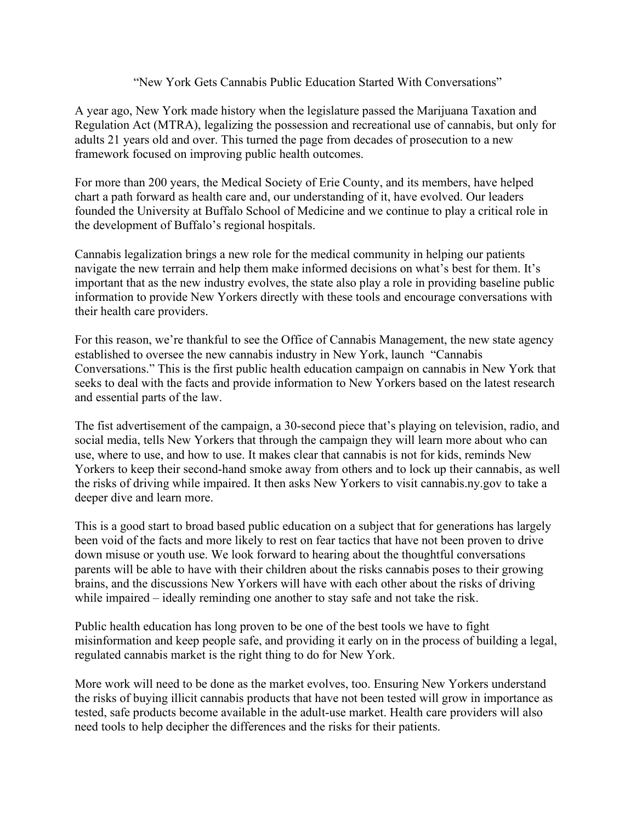## "New York Gets Cannabis Public Education Started With Conversations"

A year ago, New York made history when the legislature passed the Marijuana Taxation and Regulation Act (MTRA), legalizing the possession and recreational use of cannabis, but only for adults 21 years old and over. This turned the page from decades of prosecution to a new framework focused on improving public health outcomes.

For more than 200 years, the Medical Society of Erie County, and its members, have helped chart a path forward as health care and, our understanding of it, have evolved. Our leaders founded the University at Buffalo School of Medicine and we continue to play a critical role in the development of Buffalo's regional hospitals.

Cannabis legalization brings a new role for the medical community in helping our patients navigate the new terrain and help them make informed decisions on what's best for them. It's important that as the new industry evolves, the state also play a role in providing baseline public information to provide New Yorkers directly with these tools and encourage conversations with their health care providers.

For this reason, we're thankful to see the Office of Cannabis Management, the new state agency established to oversee the new cannabis industry in New York, launch "Cannabis Conversations." This is the first public health education campaign on cannabis in New York that seeks to deal with the facts and provide information to New Yorkers based on the latest research and essential parts of the law.

The fist advertisement of the campaign, a 30-second piece that's playing on television, radio, and social media, tells New Yorkers that through the campaign they will learn more about who can use, where to use, and how to use. It makes clear that cannabis is not for kids, reminds New Yorkers to keep their second-hand smoke away from others and to lock up their cannabis, as well the risks of driving while impaired. It then asks New Yorkers to visit cannabis.ny.gov to take a deeper dive and learn more.

This is a good start to broad based public education on a subject that for generations has largely been void of the facts and more likely to rest on fear tactics that have not been proven to drive down misuse or youth use. We look forward to hearing about the thoughtful conversations parents will be able to have with their children about the risks cannabis poses to their growing brains, and the discussions New Yorkers will have with each other about the risks of driving while impaired – ideally reminding one another to stay safe and not take the risk.

Public health education has long proven to be one of the best tools we have to fight misinformation and keep people safe, and providing it early on in the process of building a legal, regulated cannabis market is the right thing to do for New York.

More work will need to be done as the market evolves, too. Ensuring New Yorkers understand the risks of buying illicit cannabis products that have not been tested will grow in importance as tested, safe products become available in the adult-use market. Health care providers will also need tools to help decipher the differences and the risks for their patients.